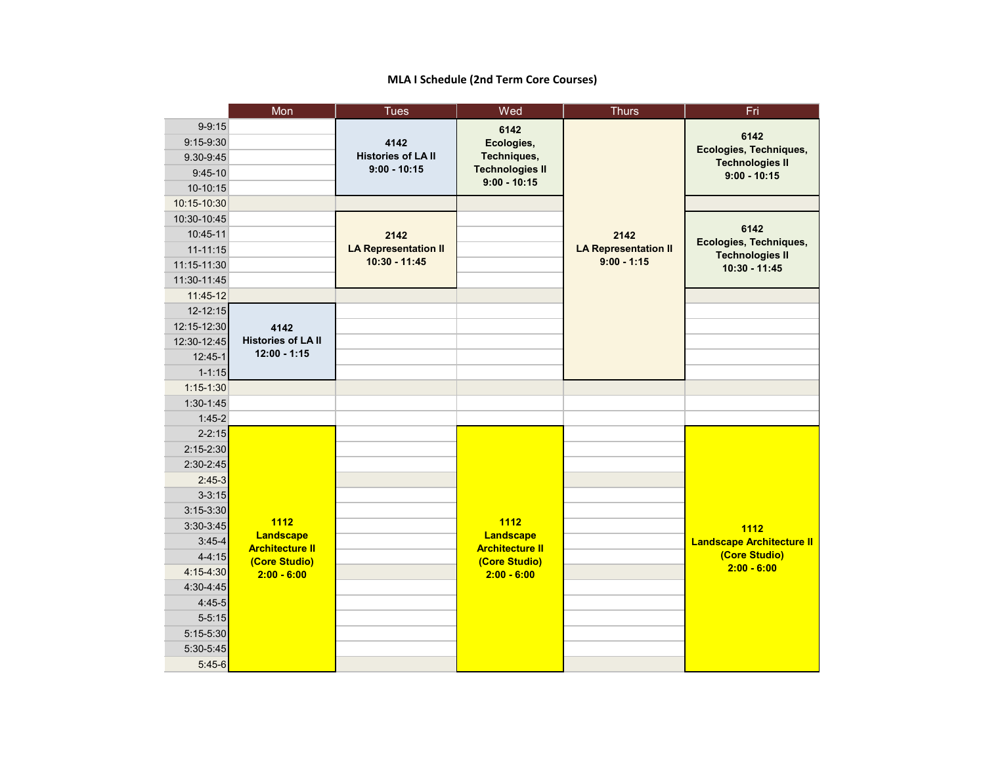# **MLA I Schedule (2nd Term Core Courses)**

|               | Mon                                                                          | <b>Tues</b>                 | Wed                                                         | <b>Thurs</b>                                 | Fri                                                                 |
|---------------|------------------------------------------------------------------------------|-----------------------------|-------------------------------------------------------------|----------------------------------------------|---------------------------------------------------------------------|
| $9 - 9:15$    |                                                                              | 4142                        | 6142<br>Ecologies,<br>Techniques,<br><b>Technologies II</b> |                                              |                                                                     |
| $9:15-9:30$   |                                                                              |                             |                                                             |                                              | 6142<br>Ecologies, Techniques,                                      |
| 9.30-9.45     |                                                                              | <b>Histories of LA II</b>   |                                                             |                                              | <b>Technologies II</b>                                              |
| $9:45-10$     | $9:00 - 10:15$                                                               |                             |                                                             |                                              | $9:00 - 10:15$                                                      |
| 10-10:15      |                                                                              |                             | $9:00 - 10:15$                                              |                                              |                                                                     |
| 10:15-10:30   |                                                                              |                             |                                                             |                                              |                                                                     |
| 10:30-10:45   |                                                                              |                             |                                                             |                                              |                                                                     |
| 10:45-11      |                                                                              | 2142                        |                                                             | 2142                                         | 6142                                                                |
| $11 - 11:15$  |                                                                              | <b>LA Representation II</b> |                                                             | <b>LA Representation II</b><br>$9:00 - 1:15$ | Ecologies, Techniques,<br><b>Technologies II</b><br>$10:30 - 11:45$ |
| 11:15-11:30   |                                                                              | 10:30 - 11:45               |                                                             |                                              |                                                                     |
| 11:30-11:45   |                                                                              |                             |                                                             |                                              |                                                                     |
| 11:45-12      |                                                                              |                             |                                                             |                                              |                                                                     |
| 12-12:15      |                                                                              |                             |                                                             |                                              |                                                                     |
| 12:15-12:30   | 4142                                                                         |                             |                                                             |                                              |                                                                     |
| 12:30-12:45   | <b>Histories of LA II</b>                                                    |                             |                                                             |                                              |                                                                     |
| 12:45-1       | $12:00 - 1:15$                                                               |                             |                                                             |                                              |                                                                     |
| $1 - 1:15$    |                                                                              |                             |                                                             |                                              |                                                                     |
| $1:15 - 1:30$ |                                                                              |                             |                                                             |                                              |                                                                     |
| $1:30-1:45$   |                                                                              |                             |                                                             |                                              |                                                                     |
| $1:45-2$      |                                                                              |                             |                                                             |                                              |                                                                     |
| $2 - 2:15$    |                                                                              |                             |                                                             |                                              |                                                                     |
| $2:15 - 2:30$ |                                                                              |                             |                                                             |                                              |                                                                     |
| $2:30-2:45$   |                                                                              |                             |                                                             |                                              |                                                                     |
| $2:45-3$      |                                                                              |                             |                                                             |                                              |                                                                     |
| $3 - 3:15$    |                                                                              |                             |                                                             |                                              |                                                                     |
| $3:15-3:30$   |                                                                              |                             |                                                             |                                              |                                                                     |
| $3:30-3:45$   | 1112                                                                         |                             | 1112                                                        |                                              | 1112                                                                |
| $3:45-4$      | <b>Landscape</b><br><b>Architecture II</b><br>(Core Studio)<br>$2:00 - 6:00$ |                             | <b>Landscape</b><br><b>Architecture II</b>                  |                                              | <b>Landscape Architecture II</b>                                    |
| $4 - 4:15$    |                                                                              |                             | (Core Studio)                                               |                                              | (Core Studio)                                                       |
| 4:15-4:30     |                                                                              |                             | $2:00 - 6:00$                                               |                                              | $2:00 - 6:00$                                                       |
| 4:30-4:45     |                                                                              |                             |                                                             |                                              |                                                                     |
| $4:45-5$      |                                                                              |                             |                                                             |                                              |                                                                     |
| $5 - 5:15$    |                                                                              |                             |                                                             |                                              |                                                                     |
| 5:15-5:30     |                                                                              |                             |                                                             |                                              |                                                                     |
| 5:30-5:45     |                                                                              |                             |                                                             |                                              |                                                                     |
| $5:45-6$      |                                                                              |                             |                                                             |                                              |                                                                     |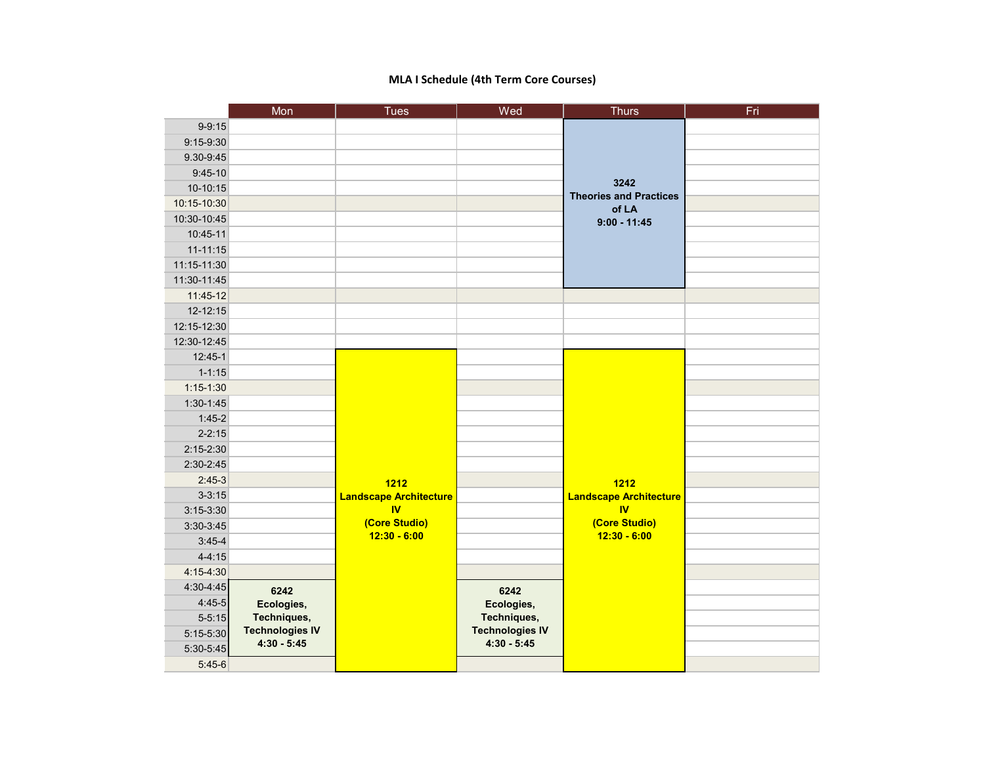### **MLA I Schedule (4th Term Core Courses)**

|               | Mon                    | <b>Tues</b>                   | Wed                    | <b>Thurs</b>                          | Fri |
|---------------|------------------------|-------------------------------|------------------------|---------------------------------------|-----|
| $9 - 9:15$    |                        |                               |                        |                                       |     |
| $9:15-9:30$   |                        |                               |                        |                                       |     |
| 9.30-9:45     |                        |                               |                        |                                       |     |
| $9:45-10$     |                        |                               |                        |                                       |     |
| 10-10:15      |                        |                               |                        | 3242<br><b>Theories and Practices</b> |     |
| 10:15-10:30   |                        |                               |                        | of LA                                 |     |
| 10:30-10:45   |                        |                               |                        | $9:00 - 11:45$                        |     |
| 10:45-11      |                        |                               |                        |                                       |     |
| $11 - 11:15$  |                        |                               |                        |                                       |     |
| 11:15-11:30   |                        |                               |                        |                                       |     |
| 11:30-11:45   |                        |                               |                        |                                       |     |
| 11:45-12      |                        |                               |                        |                                       |     |
| $12 - 12:15$  |                        |                               |                        |                                       |     |
| 12:15-12:30   |                        |                               |                        |                                       |     |
| 12:30-12:45   |                        |                               |                        |                                       |     |
| $12:45-1$     |                        |                               |                        |                                       |     |
| $1 - 1:15$    |                        |                               |                        |                                       |     |
| $1:15 - 1:30$ |                        |                               |                        |                                       |     |
| $1:30-1:45$   |                        |                               |                        |                                       |     |
| $1:45-2$      |                        |                               |                        |                                       |     |
| $2 - 2:15$    |                        |                               |                        |                                       |     |
| $2:15 - 2:30$ |                        |                               |                        |                                       |     |
| $2:30-2:45$   |                        |                               |                        |                                       |     |
| $2:45-3$      |                        | 1212                          |                        | $1212$                                |     |
| $3 - 3:15$    |                        | <b>Landscape Architecture</b> |                        | <b>Landscape Architecture</b>         |     |
| $3:15-3:30$   |                        | <b>IV</b>                     |                        | <b>IV</b>                             |     |
| $3:30-3:45$   |                        | (Core Studio)                 |                        | (Core Studio)                         |     |
| $3:45-4$      |                        | $12:30 - 6:00$                |                        | $12:30 - 6:00$                        |     |
| $4 - 4:15$    |                        |                               |                        |                                       |     |
| $4:15 - 4:30$ |                        |                               |                        |                                       |     |
| 4:30-4:45     | 6242                   |                               | 6242                   |                                       |     |
| $4:45-5$      | Ecologies,             |                               | Ecologies,             |                                       |     |
| $5 - 5:15$    | Techniques,            |                               | Techniques,            |                                       |     |
| 5:15-5:30     | <b>Technologies IV</b> |                               | <b>Technologies IV</b> |                                       |     |
| 5:30-5:45     | $4:30 - 5:45$          |                               | $4:30 - 5:45$          |                                       |     |
| $5:45-6$      |                        |                               |                        |                                       |     |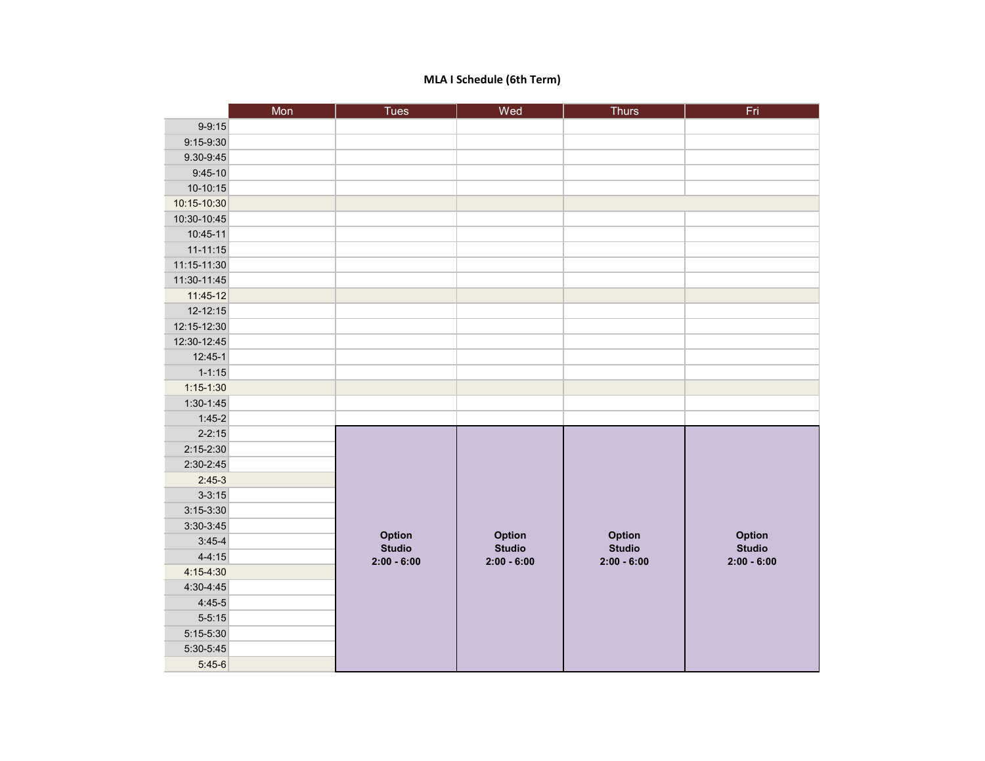# **MLA I Schedule (6th Term)**

|               | Mon | <b>Tues</b>             | Wed                     | <b>Thurs</b>            | Fri                     |
|---------------|-----|-------------------------|-------------------------|-------------------------|-------------------------|
| $9-9:15$      |     |                         |                         |                         |                         |
| 9:15-9:30     |     |                         |                         |                         |                         |
| 9.30-9:45     |     |                         |                         |                         |                         |
| $9:45-10$     |     |                         |                         |                         |                         |
| 10-10:15      |     |                         |                         |                         |                         |
| 10:15-10:30   |     |                         |                         |                         |                         |
| 10:30-10:45   |     |                         |                         |                         |                         |
| 10:45-11      |     |                         |                         |                         |                         |
| $11 - 11:15$  |     |                         |                         |                         |                         |
| 11:15-11:30   |     |                         |                         |                         |                         |
| 11:30-11:45   |     |                         |                         |                         |                         |
| 11:45-12      |     |                         |                         |                         |                         |
| 12-12:15      |     |                         |                         |                         |                         |
| 12:15-12:30   |     |                         |                         |                         |                         |
| 12:30-12:45   |     |                         |                         |                         |                         |
| $12:45-1$     |     |                         |                         |                         |                         |
| $1 - 1:15$    |     |                         |                         |                         |                         |
| $1:15 - 1:30$ |     |                         |                         |                         |                         |
| $1:30-1:45$   |     |                         |                         |                         |                         |
| $1:45-2$      |     |                         |                         |                         |                         |
| $2 - 2:15$    |     |                         |                         |                         |                         |
| $2:15 - 2:30$ |     |                         |                         |                         |                         |
| $2:30 - 2:45$ |     |                         |                         |                         |                         |
| $2:45-3$      |     |                         |                         |                         |                         |
| $3 - 3:15$    |     |                         |                         |                         |                         |
| $3:15-3:30$   |     |                         |                         |                         |                         |
| $3:30-3:45$   |     |                         |                         |                         |                         |
| $3:45-4$      |     | Option<br><b>Studio</b> | Option<br><b>Studio</b> | Option<br><b>Studio</b> | Option<br><b>Studio</b> |
| $4 - 4:15$    |     | $2:00 - 6:00$           | $2:00 - 6:00$           | $2:00 - 6:00$           | $2:00 - 6:00$           |
| 4:15-4:30     |     |                         |                         |                         |                         |
| 4:30-4:45     |     |                         |                         |                         |                         |
| $4:45-5$      |     |                         |                         |                         |                         |
| $5 - 5:15$    |     |                         |                         |                         |                         |
| 5:15-5:30     |     |                         |                         |                         |                         |
| 5:30-5:45     |     |                         |                         |                         |                         |
| $5:45-6$      |     |                         |                         |                         |                         |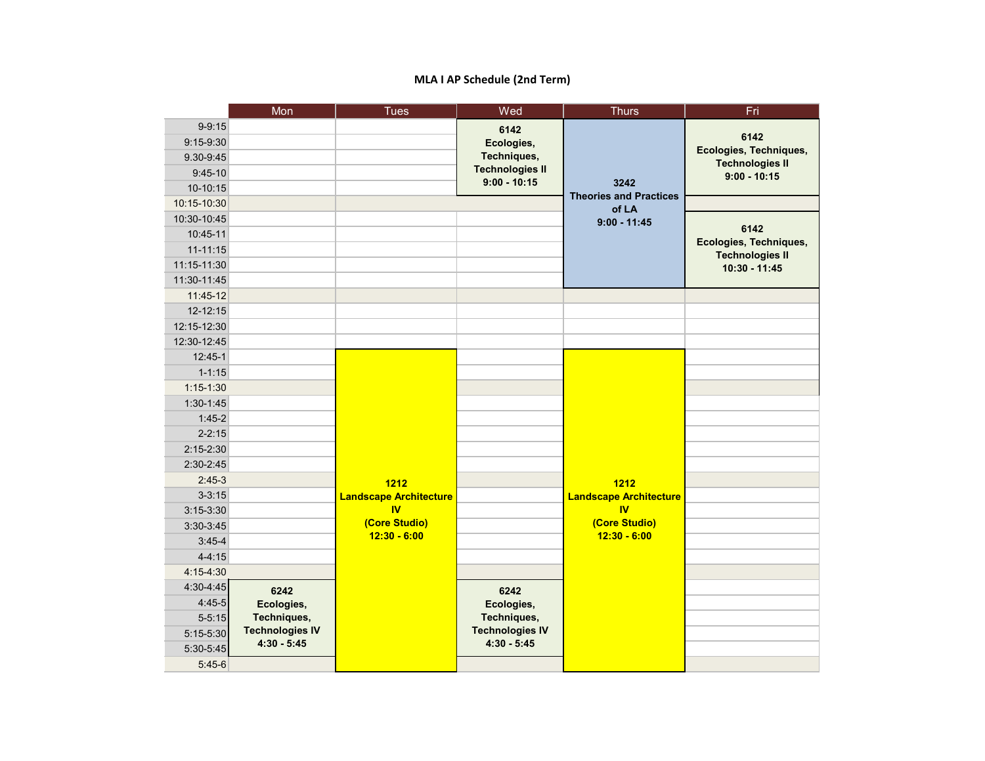# **MLA I AP Schedule (2nd Term)**

|               | Mon                    | <b>Tues</b>                   | Wed                    | <b>Thurs</b>                                                     | Fri                            |
|---------------|------------------------|-------------------------------|------------------------|------------------------------------------------------------------|--------------------------------|
| $9 - 9:15$    |                        |                               | 6142<br>Ecologies,     | 3242<br><b>Theories and Practices</b><br>of LA<br>$9:00 - 11:45$ |                                |
| $9:15-9:30$   |                        |                               |                        |                                                                  | 6142<br>Ecologies, Techniques, |
| 9.30-9:45     |                        |                               | Techniques,            |                                                                  | <b>Technologies II</b>         |
| $9:45-10$     |                        |                               | <b>Technologies II</b> |                                                                  | $9:00 - 10:15$                 |
| 10-10:15      |                        |                               | $9:00 - 10:15$         |                                                                  |                                |
| 10:15-10:30   |                        |                               |                        |                                                                  |                                |
| 10:30-10:45   |                        |                               |                        |                                                                  |                                |
| 10:45-11      |                        |                               |                        |                                                                  | 6142<br>Ecologies, Techniques, |
| $11 - 11:15$  |                        |                               |                        |                                                                  | <b>Technologies II</b>         |
| 11:15-11:30   |                        |                               |                        |                                                                  | $10:30 - 11:45$                |
| 11:30-11:45   |                        |                               |                        |                                                                  |                                |
| 11:45-12      |                        |                               |                        |                                                                  |                                |
| $12 - 12:15$  |                        |                               |                        |                                                                  |                                |
| 12:15-12:30   |                        |                               |                        |                                                                  |                                |
| 12:30-12:45   |                        |                               |                        |                                                                  |                                |
| $12:45-1$     |                        |                               |                        |                                                                  |                                |
| $1 - 1:15$    |                        |                               |                        |                                                                  |                                |
| $1:15 - 1:30$ |                        |                               |                        |                                                                  |                                |
| $1:30-1:45$   |                        |                               |                        |                                                                  |                                |
| $1:45-2$      |                        |                               |                        |                                                                  |                                |
| $2 - 2:15$    |                        |                               |                        |                                                                  |                                |
| $2:15 - 2:30$ |                        |                               |                        |                                                                  |                                |
| $2:30-2:45$   |                        |                               |                        |                                                                  |                                |
| $2:45-3$      |                        | 1212                          |                        | 1212                                                             |                                |
| $3 - 3:15$    |                        | <b>Landscape Architecture</b> |                        | <b>Landscape Architecture</b>                                    |                                |
| $3:15-3:30$   |                        | <b>IV</b>                     |                        | <b>IV</b>                                                        |                                |
| $3:30-3:45$   |                        | (Core Studio)                 |                        | (Core Studio)<br>$12:30 - 6:00$                                  |                                |
| $3:45-4$      |                        | $12:30 - 6:00$                |                        |                                                                  |                                |
| $4 - 4:15$    |                        |                               |                        |                                                                  |                                |
| 4:15-4:30     |                        |                               |                        |                                                                  |                                |
| 4:30-4:45     | 6242                   |                               | 6242                   |                                                                  |                                |
| 4:45-5        | Ecologies,             |                               | Ecologies,             |                                                                  |                                |
| $5 - 5:15$    | Techniques,            |                               | Techniques,            |                                                                  |                                |
| 5:15-5:30     | <b>Technologies IV</b> |                               | <b>Technologies IV</b> |                                                                  |                                |
| 5:30-5:45     | $4:30 - 5:45$          |                               | $4:30 - 5:45$          |                                                                  |                                |
| $5:45-6$      |                        |                               |                        |                                                                  |                                |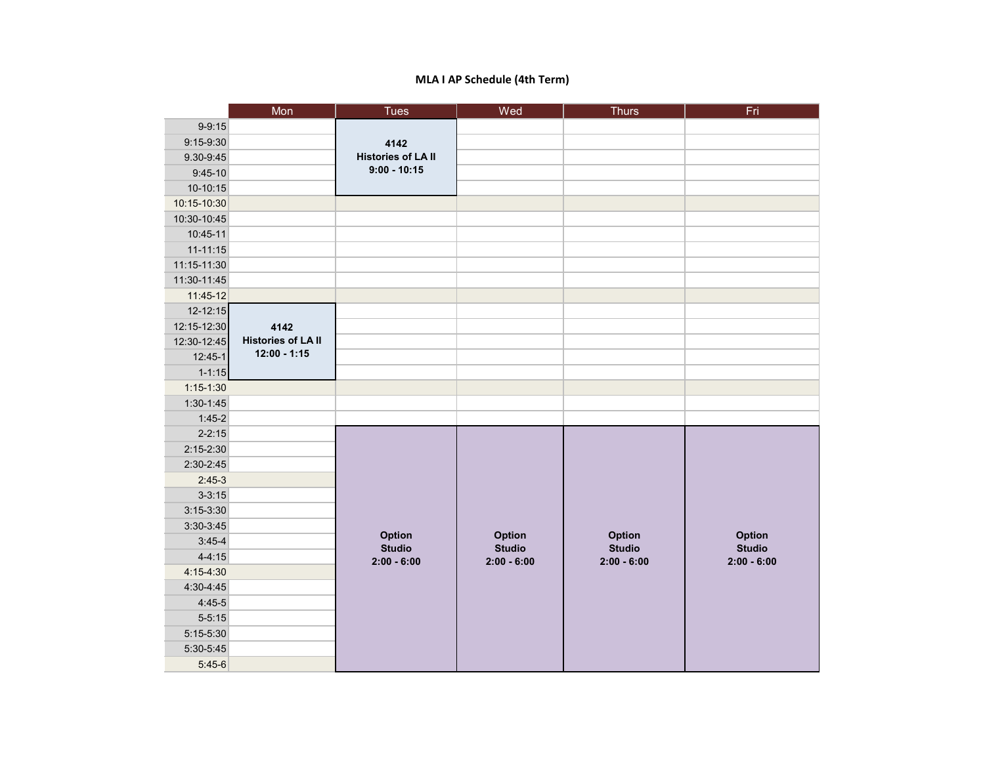# **MLA I AP Schedule (4th Term)**

|               | Mon                       | <b>Tues</b>               | Wed           | <b>Thurs</b>                             | Fri           |
|---------------|---------------------------|---------------------------|---------------|------------------------------------------|---------------|
| $9 - 9:15$    |                           | 4142                      |               |                                          |               |
| 9:15-9:30     |                           |                           |               |                                          |               |
| 9.30-9:45     |                           | <b>Histories of LA II</b> |               |                                          |               |
| $9:45-10$     |                           | $9:00 - 10:15$            |               |                                          |               |
| 10-10:15      |                           |                           |               |                                          |               |
| 10:15-10:30   |                           |                           |               |                                          |               |
| 10:30-10:45   |                           |                           |               |                                          |               |
| 10:45-11      |                           |                           |               |                                          |               |
| $11 - 11:15$  |                           |                           |               |                                          |               |
| 11:15-11:30   |                           |                           |               |                                          |               |
| 11:30-11:45   |                           |                           |               |                                          |               |
| 11:45-12      |                           |                           |               |                                          |               |
| 12-12:15      |                           |                           |               |                                          |               |
| 12:15-12:30   | 4142                      |                           |               |                                          |               |
| 12:30-12:45   | <b>Histories of LA II</b> |                           |               |                                          |               |
| $12:45-1$     | $12:00 - 1:15$            |                           |               |                                          |               |
| $1 - 1:15$    |                           |                           |               |                                          |               |
| $1:15 - 1:30$ |                           |                           |               |                                          |               |
| $1:30-1:45$   |                           |                           |               |                                          |               |
| $1:45-2$      |                           |                           |               |                                          |               |
| $2 - 2:15$    |                           |                           |               |                                          |               |
| $2:15 - 2:30$ |                           |                           |               |                                          |               |
| $2:30-2:45$   |                           |                           |               | Option<br><b>Studio</b><br>$2:00 - 6:00$ |               |
| $2:45-3$      |                           |                           |               |                                          |               |
| $3 - 3:15$    |                           |                           |               |                                          | Option        |
| $3:15-3:30$   |                           |                           |               |                                          |               |
| $3:30-3:45$   |                           | Option                    | Option        |                                          |               |
| $3:45-4$      |                           | <b>Studio</b>             | <b>Studio</b> |                                          | <b>Studio</b> |
| $4 - 4:15$    |                           | $2:00 - 6:00$             | $2:00 - 6:00$ |                                          | $2:00 - 6:00$ |
| 4:15-4:30     |                           |                           |               |                                          |               |
| 4:30-4:45     |                           |                           |               |                                          |               |
| $4:45-5$      |                           |                           |               |                                          |               |
| $5 - 5:15$    |                           |                           |               |                                          |               |
| 5:15-5:30     |                           |                           |               |                                          |               |
| 5:30-5:45     |                           |                           |               |                                          |               |
| $5:45-6$      |                           |                           |               |                                          |               |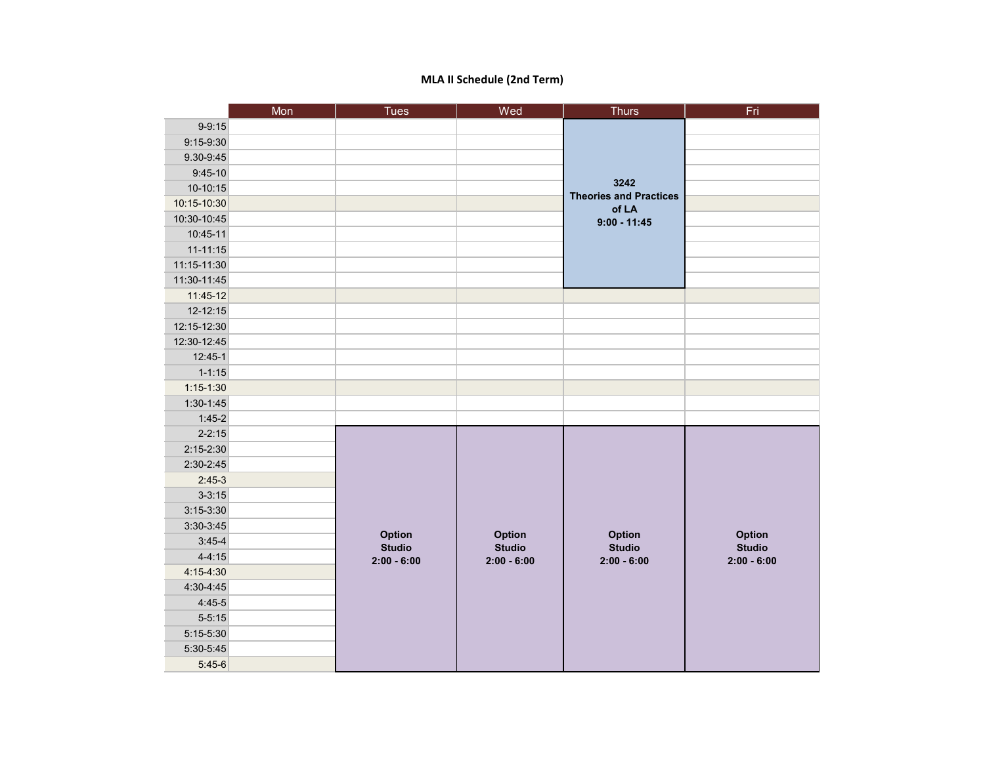# **MLA II Schedule (2nd Term)**

|               | Mon | <b>Tues</b>                    | Wed                                      | <b>Thurs</b>                             | Fri                     |
|---------------|-----|--------------------------------|------------------------------------------|------------------------------------------|-------------------------|
| $9-9:15$      |     |                                |                                          |                                          |                         |
| 9:15-9:30     |     |                                |                                          |                                          |                         |
| 9.30-9:45     |     |                                |                                          |                                          |                         |
| $9:45-10$     |     |                                |                                          |                                          |                         |
| 10-10:15      |     |                                |                                          | 3242                                     |                         |
| 10:15-10:30   |     |                                |                                          | <b>Theories and Practices</b><br>of LA   |                         |
| 10:30-10:45   |     |                                |                                          | $9:00 - 11:45$                           |                         |
| 10:45-11      |     |                                |                                          |                                          |                         |
| $11 - 11:15$  |     |                                |                                          |                                          |                         |
| 11:15-11:30   |     |                                |                                          |                                          |                         |
| 11:30-11:45   |     |                                |                                          |                                          |                         |
| 11:45-12      |     |                                |                                          |                                          |                         |
| 12-12:15      |     |                                |                                          |                                          |                         |
| 12:15-12:30   |     |                                |                                          |                                          |                         |
| 12:30-12:45   |     |                                |                                          |                                          |                         |
| 12:45-1       |     |                                |                                          |                                          |                         |
| $1 - 1:15$    |     |                                |                                          |                                          |                         |
| $1:15 - 1:30$ |     |                                |                                          |                                          |                         |
| $1:30-1:45$   |     |                                |                                          |                                          |                         |
| $1:45-2$      |     |                                |                                          |                                          |                         |
| $2 - 2:15$    |     |                                |                                          |                                          |                         |
| $2:15 - 2:30$ |     |                                |                                          | Option<br><b>Studio</b><br>$2:00 - 6:00$ |                         |
| $2:30 - 2:45$ |     |                                |                                          |                                          |                         |
| $2:45-3$      |     |                                |                                          |                                          |                         |
| $3 - 3:15$    |     |                                |                                          |                                          |                         |
| $3:15-3:30$   |     |                                |                                          |                                          |                         |
| 3:30-3:45     |     |                                |                                          |                                          |                         |
| $3:45-4$      |     | <b>Option</b><br><b>Studio</b> | Option<br><b>Studio</b><br>$2:00 - 6:00$ |                                          | Option<br><b>Studio</b> |
| $4 - 4:15$    |     | $2:00 - 6:00$                  |                                          |                                          | $2:00 - 6:00$           |
| $4:15 - 4:30$ |     |                                |                                          |                                          |                         |
| 4:30-4:45     |     |                                |                                          |                                          |                         |
| $4:45-5$      |     |                                |                                          |                                          |                         |
| $5 - 5:15$    |     |                                |                                          |                                          |                         |
| 5:15-5:30     |     |                                |                                          |                                          |                         |
| 5:30-5:45     |     |                                |                                          |                                          |                         |
| $5:45-6$      |     |                                |                                          |                                          |                         |